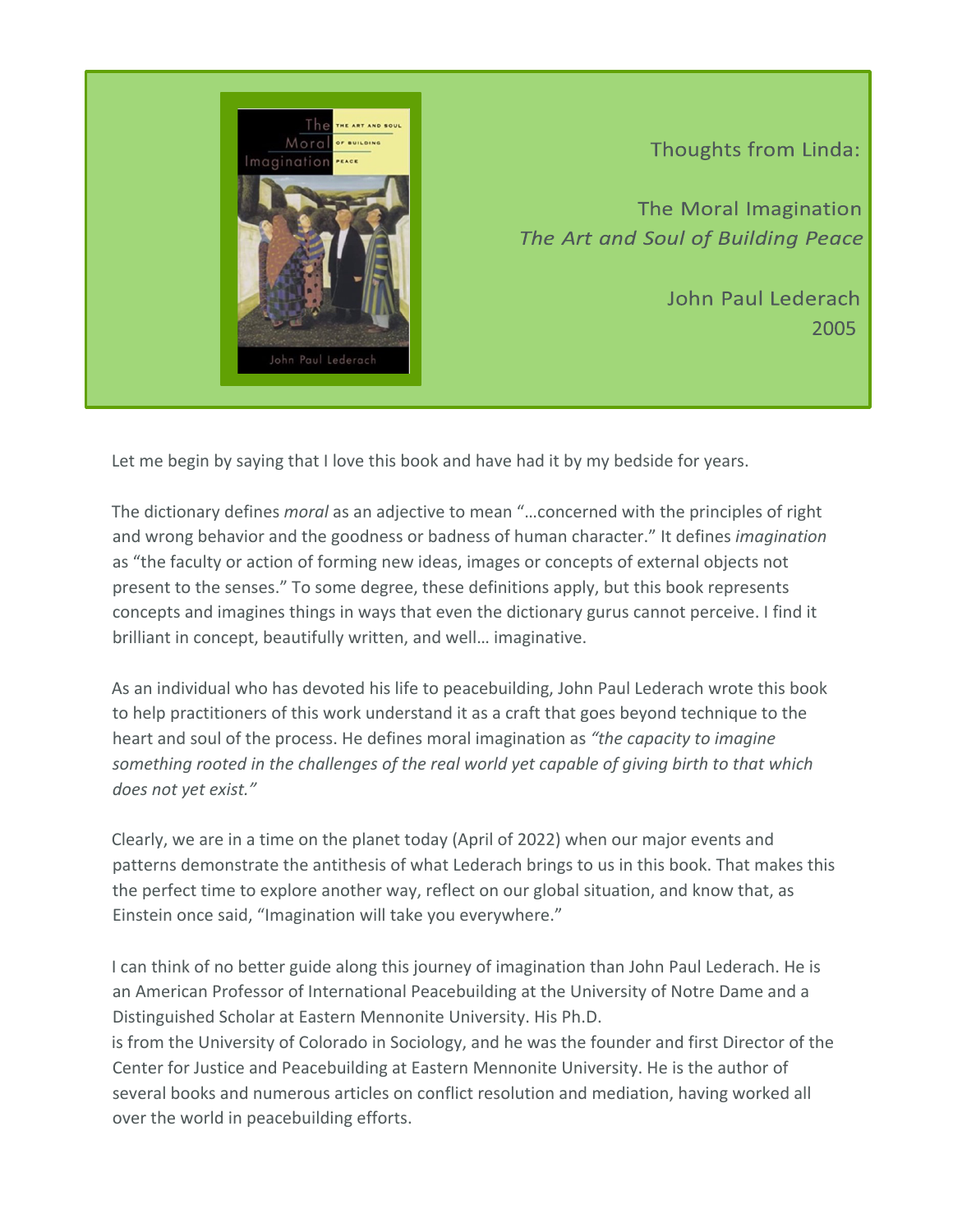

Thoughts from Linda:

The Moral Imagination The Art and Soul of Building Peace

> John Paul Lederach 2005

Let me begin by saying that I love this book and have had it by my bedside for years.

The dictionary defines *moral* as an adjective to mean "…concerned with the principles of right and wrong behavior and the goodness or badness of human character." It defines *imagination* as "the faculty or action of forming new ideas, images or concepts of external objects not present to the senses." To some degree, these definitions apply, but this book represents concepts and imagines things in ways that even the dictionary gurus cannot perceive. I find it brilliant in concept, beautifully written, and well… imaginative.

As an individual who has devoted his life to peacebuilding, John Paul Lederach wrote this book to help practitioners of this work understand it as a craft that goes beyond technique to the heart and soul of the process. He defines moral imagination as *"the capacity to imagine something rooted in the challenges of the real world yet capable of giving birth to that which does not yet exist."* 

Clearly, we are in a time on the planet today (April of 2022) when our major events and patterns demonstrate the antithesis of what Lederach brings to us in this book. That makes this the perfect time to explore another way, reflect on our global situation, and know that, as Einstein once said, "Imagination will take you everywhere."

I can think of no better guide along this journey of imagination than John Paul Lederach. He is an American Professor of International Peacebuilding at the University of Notre Dame and a Distinguished Scholar at Eastern Mennonite University. His Ph.D.

is from the University of Colorado in Sociology, and he was the founder and first Director of the Center for Justice and Peacebuilding at Eastern Mennonite University. He is the author of several books and numerous articles on conflict resolution and mediation, having worked all over the world in peacebuilding efforts.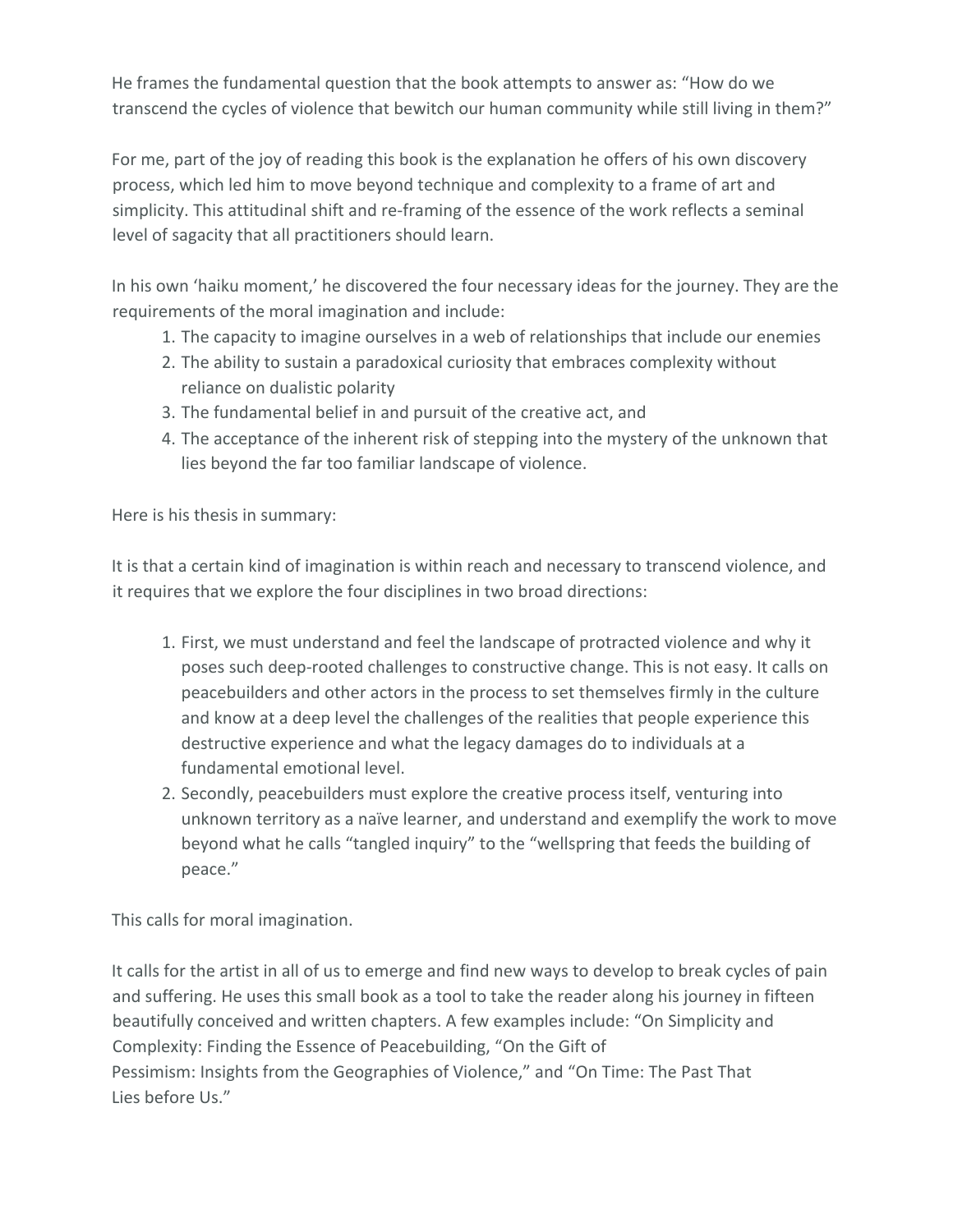He frames the fundamental question that the book attempts to answer as: "How do we transcend the cycles of violence that bewitch our human community while still living in them?"

For me, part of the joy of reading this book is the explanation he offers of his own discovery process, which led him to move beyond technique and complexity to a frame of art and simplicity. This attitudinal shift and re-framing of the essence of the work reflects a seminal level of sagacity that all practitioners should learn.

In his own 'haiku moment,' he discovered the four necessary ideas for the journey. They are the requirements of the moral imagination and include:

- 1. The capacity to imagine ourselves in a web of relationships that include our enemies
- 2. The ability to sustain a paradoxical curiosity that embraces complexity without reliance on dualistic polarity
- 3. The fundamental belief in and pursuit of the creative act, and
- 4. The acceptance of the inherent risk of stepping into the mystery of the unknown that lies beyond the far too familiar landscape of violence.

Here is his thesis in summary:

It is that a certain kind of imagination is within reach and necessary to transcend violence, and it requires that we explore the four disciplines in two broad directions:

- 1. First, we must understand and feel the landscape of protracted violence and why it poses such deep-rooted challenges to constructive change. This is not easy. It calls on peacebuilders and other actors in the process to set themselves firmly in the culture and know at a deep level the challenges of the realities that people experience this destructive experience and what the legacy damages do to individuals at a fundamental emotional level.
- 2. Secondly, peacebuilders must explore the creative process itself, venturing into unknown territory as a naïve learner, and understand and exemplify the work to move beyond what he calls "tangled inquiry" to the "wellspring that feeds the building of peace."

This calls for moral imagination.

It calls for the artist in all of us to emerge and find new ways to develop to break cycles of pain and suffering. He uses this small book as a tool to take the reader along his journey in fifteen beautifully conceived and written chapters. A few examples include: "On Simplicity and Complexity: Finding the Essence of Peacebuilding, "On the Gift of Pessimism: Insights from the Geographies of Violence," and "On Time: The Past That Lies before Us."